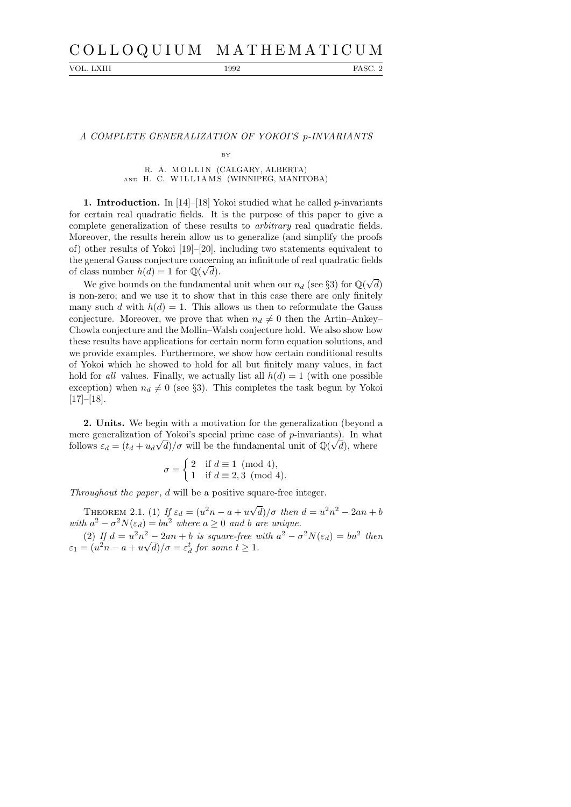## C O L L O Q U I U M M A T H E M A T I C U M

VOL. LXIII 1992 FASC. 2

## A COMPLETE GENERALIZATION OF YOKOI'S p-INVARIANTS

## BY R. A. MOLLIN (CALGARY, ALBERTA) AND H. C. WILLIAMS (WINNIPEG, MANITOBA)

1. Introduction. In [14]–[18] Yokoi studied what he called  $p$ -invariants for certain real quadratic fields. It is the purpose of this paper to give a complete generalization of these results to arbitrary real quadratic fields. Moreover, the results herein allow us to generalize (and simplify the proofs of) other results of Yokoi [19]–[20], including two statements equivalent to the general Gauss conjecture concerning an infinitude of real quadratic fields √ of class number  $h(d) = 1$  for  $\mathbb{Q}(\sqrt{d})$ .

The function  $u(u) = 1$  for  $\mathcal{L}(\nabla u)$ .<br>We give bounds on the fundamental unit when our  $n_d$  (see §3) for  $\mathbb{Q}(\sqrt{d})$ d) is non-zero; and we use it to show that in this case there are only finitely many such d with  $h(d) = 1$ . This allows us then to reformulate the Gauss conjecture. Moreover, we prove that when  $n_d \neq 0$  then the Artin–Ankey– Chowla conjecture and the Mollin–Walsh conjecture hold. We also show how these results have applications for certain norm form equation solutions, and we provide examples. Furthermore, we show how certain conditional results of Yokoi which he showed to hold for all but finitely many values, in fact hold for all values. Finally, we actually list all  $h(d) = 1$  (with one possible exception) when  $n_d \neq 0$  (see §3). This completes the task begun by Yokoi  $[17]–[18]$ .

2. Units. We begin with a motivation for the generalization (beyond a mere generalization of Yokoi's special prime case of  $p$ -invariants). In what follows  $\varepsilon_d = (t_d + u_d\sqrt{d})/\sigma$  will be the fundamental unit of  $\mathbb{Q}(\sqrt{d})$ , where

$$
\sigma = \begin{cases} 2 & \text{if } d \equiv 1 \pmod{4}, \\ 1 & \text{if } d \equiv 2,3 \pmod{4}. \end{cases}
$$

Throughout the paper, d will be a positive square-free integer.

THEOREM 2.1. (1) If  $\varepsilon_d = (u^2n - a + u)$ √  $\overline{d})/\sigma$  then  $d = u^2n^2 - 2an + b$ with  $a^2 - \sigma^2 N(\varepsilon_d) = bu^2$  where  $a \ge 0$  and b are unique.

(2) If  $d = u^2n^2 - 2an + b$  is square-free with  $a^2 - \sigma^2N(\varepsilon_d) = bu^2$  then  $\varepsilon_1 = (u^2n - a + u\sqrt{d})/\sigma = \varepsilon_d^t$  for some  $t \ge 1$ .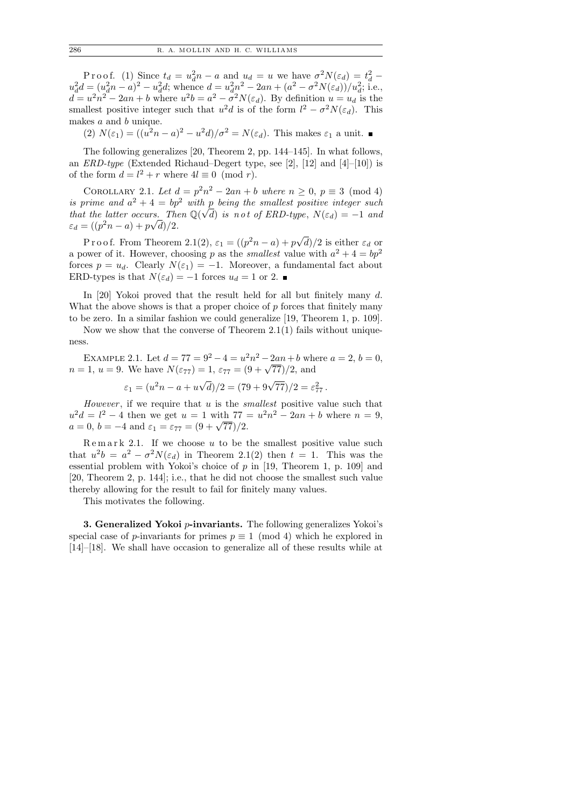P r o o f. (1) Since  $t_d = u_d^2 n - a$  and  $u_d = u$  we have  $\sigma^2 N(\varepsilon_d) = t_d^2 - a$  $u_d^2d = (u_d^2n - a)^2 - u_d^2d$ ; whence  $d = u_d^2n^2 - 2an + (a^2 - \sigma^2N(\varepsilon_d))/u_d^2$ ; i.e.,  $d = u^2n^2 - 2an + b$  where  $u^2b = a^2 - \sigma^2N(\varepsilon_d)$ . By definition  $u = u_d$  is the smallest positive integer such that  $u^2d$  is of the form  $l^2 - \sigma^2 N(\varepsilon_d)$ . This makes a and b unique.

(2)  $N(\varepsilon_1) = ((u^2n - a)^2 - u^2d)/\sigma^2 = N(\varepsilon_d)$ . This makes  $\varepsilon_1$  a unit.

The following generalizes [20, Theorem 2, pp. 144–145]. In what follows, an  $ERD-type$  (Extended Richaud–Degert type, see [2], [12] and [4]–[10]) is of the form  $d = l^2 + r$  where  $4l \equiv 0 \pmod{r}$ .

COROLLARY 2.1. Let  $d = p^2n^2 - 2an + b$  where  $n \ge 0$ ,  $p \equiv 3 \pmod{4}$ is prime and  $a^2 + 4 = bp^2$  with p being the smallest positive integer such that the latter occurs. Then  $\mathbb{Q}(\sqrt{d})$  is not of ERD-type,  $N(\varepsilon_d) = -1$  and  $\varepsilon_d = \left( (p^2 n - a) + p\sqrt{d} \right) / 2.$ √

P r o o f. From Theorem 2.1(2),  $\varepsilon_1 = (p^2n - a) + p$  $(d)/2$  is either  $\varepsilon_d$  or a power of it. However, choosing p as the *smallest* value with  $a^2 + 4 = bp^2$ forces  $p = u_d$ . Clearly  $N(\varepsilon_1) = -1$ . Moreover, a fundamental fact about ERD-types is that  $N(\varepsilon_d) = -1$  forces  $u_d = 1$  or 2. ■

In [20] Yokoi proved that the result held for all but finitely many d. What the above shows is that a proper choice of  $p$  forces that finitely many to be zero. In a similar fashion we could generalize [19, Theorem 1, p. 109].

Now we show that the converse of Theorem  $2.1(1)$  fails without uniqueness.

EXAMPLE 2.1. Let  $d = 77 = 9^2 - 4 = u^2 n^2 - 2an + b$  where  $a = 2, b = 0$ , EXAMPLE 2.1. Let  $a = 77 = 9^2 - 4 = u^2 - 4 = u^2 - 4$  which  $n = 1$ ,  $u = 9$ . We have  $N(\epsilon_{77}) = 1$ ,  $\epsilon_{77} = (9 + \sqrt{77})/2$ , and

$$
\varepsilon_1 = (u^2 n - a + u\sqrt{d})/2 = (79 + 9\sqrt{77})/2 = \varepsilon_{77}^2.
$$

However, if we require that  $u$  is the *smallest* positive value such that  $u^2d = l^2 - 4$  then we get  $u = 1$  with  $77 = u^2n^2 - 2an + b$  where  $n = 9$ ,  $a = b^2 - 4$  then we get  $u = 1$  with  $a = 0, b = -4$  and  $\varepsilon_1 = \varepsilon_{77} = (9 + \sqrt{77})/2$ .

 $R$ e m a r k 2.1. If we choose  $u$  to be the smallest positive value such that  $u^2b = a^2 - \sigma^2 N(\epsilon_d)$  in Theorem 2.1(2) then  $t = 1$ . This was the essential problem with Yokoi's choice of  $p$  in [19, Theorem 1, p. 109] and [20, Theorem 2, p. 144]; i.e., that he did not choose the smallest such value thereby allowing for the result to fail for finitely many values.

This motivates the following.

3. Generalized Yokoi p-invariants. The following generalizes Yokoi's special case of p-invariants for primes  $p \equiv 1 \pmod{4}$  which he explored in [14]–[18]. We shall have occasion to generalize all of these results while at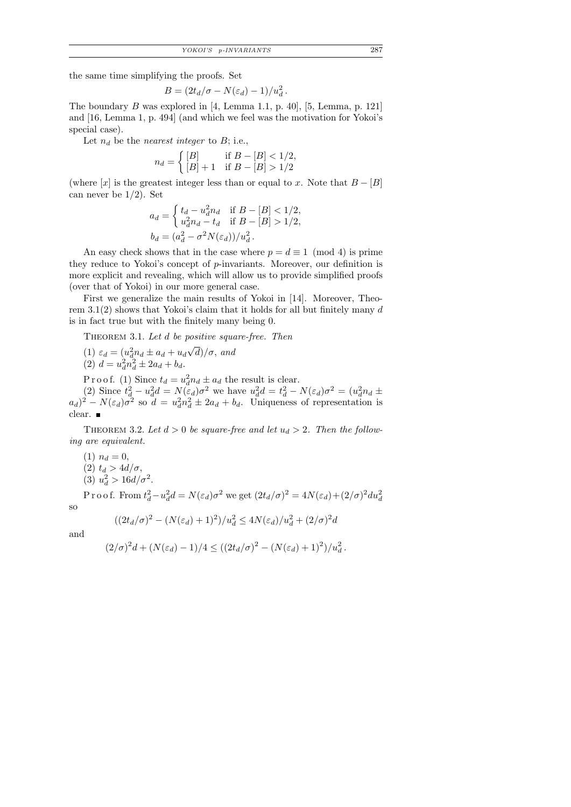the same time simplifying the proofs. Set

$$
B = \frac{2t_d}{\sigma} - N(\varepsilon_d) - 1\frac{u_d^2}{a}.
$$

The boundary B was explored in [4, Lemma 1.1, p. 40], [5, Lemma, p. 121] and [16, Lemma 1, p. 494] (and which we feel was the motivation for Yokoi's special case).

Let  $n_d$  be the nearest integer to B; i.e.,

$$
n_d = \begin{cases} [B] & \text{if } B - [B] < 1/2, \\ [B] + 1 & \text{if } B - [B] > 1/2 \end{cases}
$$

(where [x] is the greatest integer less than or equal to x. Note that  $B - [B]$ can never be 1/2). Set

$$
a_d = \begin{cases} t_d - u_d^2 n_d & \text{if } B - [B] < 1/2, \\ u_d^2 n_d - t_d & \text{if } B - [B] > 1/2, \end{cases}
$$

$$
b_d = (a_d^2 - \sigma^2 N(\varepsilon_d)) / u_d^2.
$$

An easy check shows that in the case where  $p = d \equiv 1 \pmod{4}$  is prime they reduce to Yokoi's concept of p-invariants. Moreover, our definition is more explicit and revealing, which will allow us to provide simplified proofs (over that of Yokoi) in our more general case.

First we generalize the main results of Yokoi in [14]. Moreover, Theorem  $3.1(2)$  shows that Yokoi's claim that it holds for all but finitely many d is in fact true but with the finitely many being 0.

THEOREM 3.1. Let d be positive square-free. Then

(1) 
$$
\varepsilon_d = (u_d^2 n_d \pm a_d + u_d \sqrt{d})/\sigma, \text{ and}
$$
  
(2) 
$$
d = u_d^2 n_d^2 \pm 2a_d + b_d.
$$

P r o o f. (1) Since  $t_d = u_d^2 n_d \pm a_d$  the result is clear.

(2) Since  $t_d^2 - u_d^2 d = N(\epsilon_d)\sigma^2$  we have  $u_d^2 d = t_d^2 - N(\epsilon_d)\sigma^2 = (u_d^2 n_d \pm \epsilon_d^2)(u_d^2 - u_d^2 n_d \pm \epsilon_d^2)$  $(a_d)^2 - N(\varepsilon_d)\sigma^2$  so  $d = u_d^2 n_d^2 \pm 2a_d + b_d$ . Uniqueness of representation is clear.

THEOREM 3.2. Let  $d > 0$  be square-free and let  $u_d > 2$ . Then the following are equivalent.

 $(1)$   $n_d = 0$ , (2)  $t_d > 4d/\sigma$ , (3)  $u_d^2 > 16d/\sigma^2$ .

Proof. From  $t_d^2 - u_d^2 d = N(\varepsilon_d)\sigma^2$  we get  $(2t_d/\sigma)^2 = 4N(\varepsilon_d) + (2/\sigma)^2 du_d^2$ so

and

$$
(2/\sigma)^{2}d + (N(\varepsilon_{d}) - 1)/4 \leq ((2t_{d}/\sigma)^{2} - (N(\varepsilon_{d}) + 1)^{2})/u_{d}^{2}.
$$

 $((2t_d/\sigma)^2 - (N(\varepsilon_d) + 1)^2)/u_d^2 \le 4N(\varepsilon_d)/u_d^2 + (2/\sigma)^2d$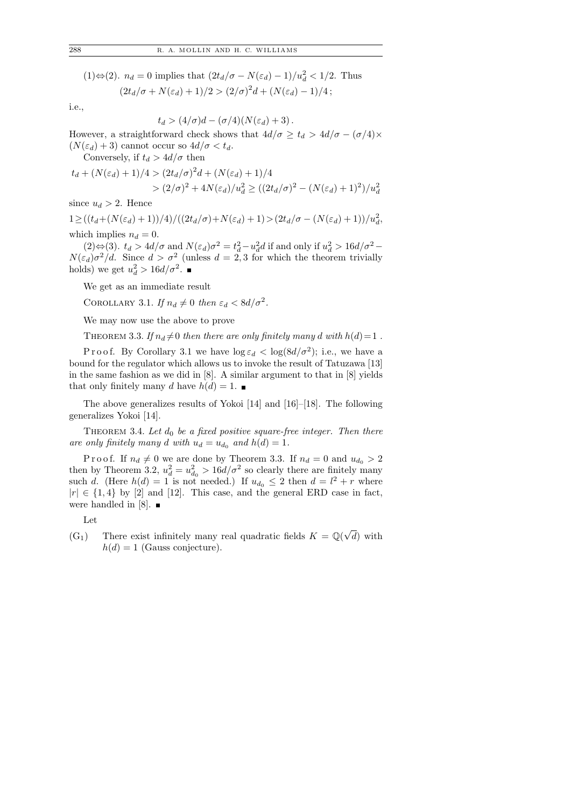(1)⇔(2).  $n_d = 0$  implies that  $\left(\frac{2t_d}{\sigma} - N(\varepsilon_d) - 1\right) / u_d^2 < 1/2$ . Thus  $(2t_d/\sigma + N(\varepsilon_d) + 1)/2 > (2/\sigma)^2 d + (N(\varepsilon_d) - 1)/4;$ 

i.e.,

$$
t_d > (4/\sigma)d - (\sigma/4)(N(\varepsilon_d) + 3).
$$

However, a straightforward check shows that  $4d/\sigma \geq t_d > 4d/\sigma - (\sigma/4) \times$  $(N(\varepsilon_d) + 3)$  cannot occur so  $4d/\sigma < t_d$ .

Conversely, if  $t_d > 4d/\sigma$  then

$$
t_d + (N(\varepsilon_d) + 1)/4 > (2t_d/\sigma)^2 d + (N(\varepsilon_d) + 1)/4
$$
  
>  $(2/\sigma)^2 + 4N(\varepsilon_d)/u_d^2 \ge ((2t_d/\sigma)^2 - (N(\varepsilon_d) + 1)^2)/u_d^2$ 

since  $u_d > 2$ . Hence

 $1 \geq ((t_d + (N(\varepsilon_d) + 1))/4)/((2t_d/\sigma) + N(\varepsilon_d) + 1) > (2t_d/\sigma - (N(\varepsilon_d) + 1))/u_d^2,$ which implies  $n_d = 0$ .

(2) $\Leftrightarrow$  (3).  $t_d > 4d/\sigma$  and  $N(\varepsilon_d)\sigma^2 = t_d^2 - u_d^2 d$  if and only if  $u_d^2 > 16d/\sigma^2 N(\varepsilon_d)\sigma^2/d$ . Since  $d > \sigma^2$  (unless  $d = 2,3$  for which the theorem trivially holds) we get  $u_d^2 > 16d/\sigma^2$ .

We get as an immediate result

COROLLARY 3.1. If  $n_d \neq 0$  then  $\varepsilon_d < 8d/\sigma^2$ .

We may now use the above to prove

THEOREM 3.3. If  $n_d \neq 0$  then there are only finitely many d with  $h(d)=1$ .

Proof. By Corollary 3.1 we have  $\log \varepsilon_d < \log(8d/\sigma^2)$ ; i.e., we have a bound for the regulator which allows us to invoke the result of Tatuzawa [13] in the same fashion as we did in [8]. A similar argument to that in [8] yields that only finitely many d have  $h(d) = 1$ .

The above generalizes results of Yokoi [14] and [16]–[18]. The following generalizes Yokoi [14].

THEOREM 3.4. Let  $d_0$  be a fixed positive square-free integer. Then there are only finitely many d with  $u_d = u_{d_0}$  and  $h(d) = 1$ .

P r o o f. If  $n_d \neq 0$  we are done by Theorem 3.3. If  $n_d = 0$  and  $u_{d_0} > 2$ then by Theorem 3.2,  $u_d^2 = u_{d_0}^2 > 16d/\sigma^2$  so clearly there are finitely many such d. (Here  $h(d) = 1$  is not needed.) If  $u_{d_0} \leq 2$  then  $d = l^2 + r$  where  $|r| \in \{1, 4\}$  by [2] and [12]. This case, and the general ERD case in fact, were handled in [8].  $\blacksquare$ 

Let

(G<sub>1</sub>) There exist infinitely many real quadratic fields  $K = \mathbb{Q}(\sqrt{\mathbb{Q}})$  $d)$  with  $h(d) = 1$  (Gauss conjecture).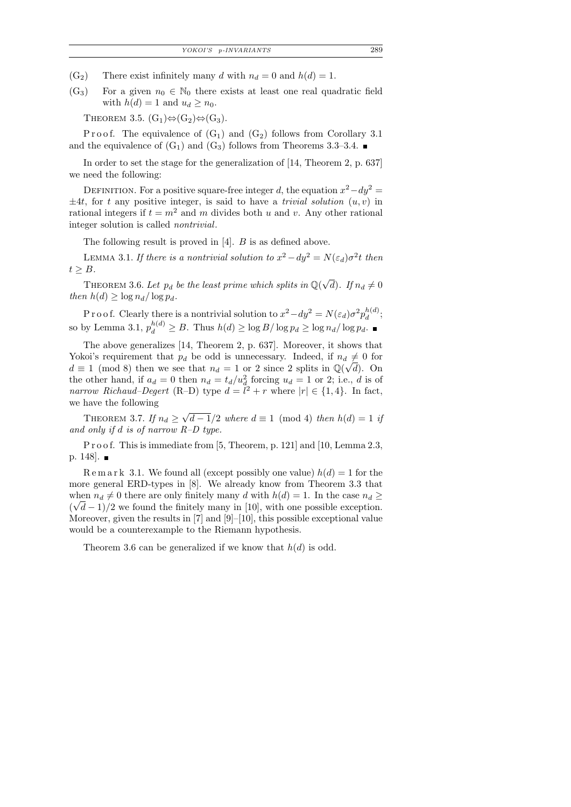- $(G_2)$  There exist infinitely many d with  $n_d = 0$  and  $h(d) = 1$ .
- $(G_3)$  For a given  $n_0 \in \mathbb{N}_0$  there exists at least one real quadratic field with  $h(d) = 1$  and  $u_d \geq n_0$ .

THEOREM 3.5.  $(G_1) \Leftrightarrow (G_2) \Leftrightarrow (G_3)$ .

P r o o f. The equivalence of  $(G_1)$  and  $(G_2)$  follows from Corollary 3.1 and the equivalence of  $(G_1)$  and  $(G_3)$  follows from Theorems 3.3–3.4.

In order to set the stage for the generalization of [14, Theorem 2, p. 637] we need the following:

DEFINITION. For a positive square-free integer d, the equation  $x^2 - dy^2 =$  $\pm 4t$ , for t any positive integer, is said to have a trivial solution  $(u, v)$  in rational integers if  $t = m^2$  and m divides both u and v. Any other rational integer solution is called nontrivial.

The following result is proved in  $[4]$ .  $B$  is as defined above.

LEMMA 3.1. If there is a nontrivial solution to  $x^2 - dy^2 = N(\varepsilon_d)\sigma^2 t$  then  $t \geq B$ .

THEOREM 3.6. Let  $p_d$  be the least prime which splits in  $\mathbb{Q}(\sqrt{\}$ d). If  $n_d \neq 0$ then  $h(d) \geq \log n_d / \log p_d$ .

P r o o f. Clearly there is a nontrivial solution to  $x^2 - dy^2 = N(\varepsilon_d)\sigma^2 p_d^{h(d)}$  $\frac{u(a)}{d}$ so by Lemma 3.1,  $p_d^{h(d)} \ge B$ . Thus  $h(d) \ge \log B/\log p_d \ge \log n_d/\log p_d$ .

The above generalizes [14, Theorem 2, p. 637]. Moreover, it shows that Yokoi's requirement that  $p_d$  be odd is unnecessary. Indeed, if  $n_d \neq 0$  for  $d \equiv 1 \pmod{8}$  then we see that  $n_d = 1$  or 2 since 2 splits in  $\mathbb{Q}(\sqrt{d})$ . On the other hand, if  $a_d = 0$  then  $n_d = t_d/u_d^2$  forcing  $u_d = 1$  or 2; i.e., d is of narrow Richaud–Degert (R–D) type  $d = \tilde{l}^2 + r$  where  $|r| \in \{1, 4\}$ . In fact, we have the following

THEOREM 3.7. If  $n_d \geq \sqrt{2}$  $d-1/2$  where  $d \equiv 1 \pmod{4}$  then  $h(d) = 1$  if and only if d is of narrow  $R-D$  type.

P r o o f. This is immediate from [5, Theorem, p. 121] and [10, Lemma 2.3,  $p. 148$ .

Remark 3.1. We found all (except possibly one value)  $h(d) = 1$  for the more general ERD-types in [8]. We already know from Theorem 3.3 that when  $n_d \neq 0$  there are only finitely many d with  $h(d) = 1$ . In the case  $n_d \geq$  $(\sqrt{d}-1)/2$  we found the finitely many in [10], with one possible exception. Moreover, given the results in  $[7]$  and  $[9]-[10]$ , this possible exceptional value would be a counterexample to the Riemann hypothesis.

Theorem 3.6 can be generalized if we know that  $h(d)$  is odd.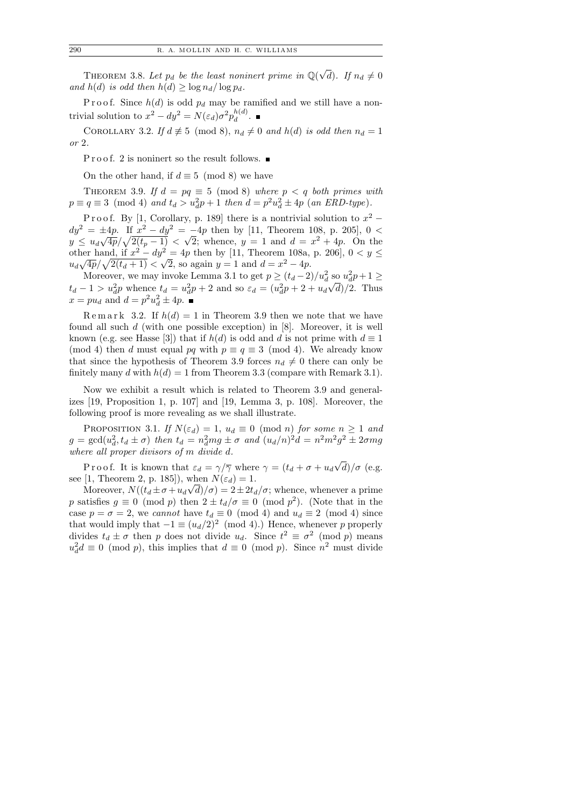THEOREM 3.8. Let  $p_d$  be the least noninert prime in  $\mathbb{Q}(\sqrt{2})$ d). If  $n_d \neq 0$ and  $h(d)$  is odd then  $h(d) \geq \log n_d / \log p_d$ .

P r o o f. Since  $h(d)$  is odd  $p_d$  may be ramified and we still have a nontrivial solution to  $x^2 - dy^2 = N(\varepsilon_d)\sigma^2 p_d^{h(d)}$  $\frac{a(a)}{d}$ .

COROLLARY 3.2. If  $d \not\equiv 5 \pmod{8}$ ,  $n_d \not\equiv 0$  and  $h(d)$  is odd then  $n_d = 1$ or 2.

P r o o f. 2 is noninert so the result follows.  $\blacksquare$ 

On the other hand, if  $d \equiv 5 \pmod{8}$  we have

THEOREM 3.9. If  $d = pq \equiv 5 \pmod{8}$  where  $p < q$  both primes with  $p \equiv q \equiv 3 \pmod{4}$  and  $t_d > u_d^2 p + 1$  then  $d = p^2 u_d^2 \pm 4p$  (an ERD-type).

P r o o f. By [1, Corollary, p. 189] there is a nontrivial solution to  $x^2$  –  $dy^2 = \pm 4p$ . If  $x^2 - dy^2 = -4p$  then by [11, Theorem 108, p. 205], 0 <  $\begin{aligned} \frac{dy}{y} &\leq \frac{1}{2} \frac{4p}{\sqrt{4p}} \frac{1}{\sqrt{2(t_p-1)}} < \frac{1}{2} \end{aligned}$ √  $\overline{2}$ ; whence,  $y = 1$  and  $d = x^2 + 4p$ . On the other hand, if  $x^2 - dy^2 = 4p$  then by [11, Theorem 108a, p. 206],  $0 < y \leq$  $u_d \sqrt{4p} / \sqrt{2(t_d + 1)} < \sqrt{2}$ , so again  $y = 1$  and  $d = x^2 - 4p$ .

Moreover, we may invoke Lemma 3.1 to get  $p \ge (t_d - 2)/u_d^2$  so  $u_d^2 p + 1 \ge$  $t_d - 1 > u_d^2 p$  whence  $t_d = u_d^2 p + 2$  and so  $\varepsilon_d = (u_d^2 p + 2 + u_d \sqrt{d})/2$ . Thus  $x = pu_d$  and  $d = p^2 u_d^2 \pm 4p$ .

Remark 3.2. If  $h(d) = 1$  in Theorem 3.9 then we note that we have found all such  $d$  (with one possible exception) in [8]. Moreover, it is well known (e.g. see Hasse [3]) that if  $h(d)$  is odd and d is not prime with  $d \equiv 1$ (mod 4) then d must equal pq with  $p \equiv q \equiv 3 \pmod{4}$ . We already know that since the hypothesis of Theorem 3.9 forces  $n_d \neq 0$  there can only be finitely many d with  $h(d) = 1$  from Theorem 3.3 (compare with Remark 3.1).

Now we exhibit a result which is related to Theorem 3.9 and generalizes [19, Proposition 1, p. 107] and [19, Lemma 3, p. 108]. Moreover, the following proof is more revealing as we shall illustrate.

PROPOSITION 3.1. If  $N(\varepsilon_d) = 1$ ,  $u_d \equiv 0 \pmod{n}$  for some  $n \ge 1$  and  $g = \gcd(u_d^2, t_d \pm \sigma)$  then  $t_d = n_d^2 mg \pm \sigma$  and  $(u_d/n)^2 d = n^2 m^2 g^2 \pm 2 \sigma mg$ where all proper divisors of m divide d. √

P r o o f. It is known that  $\varepsilon_d = \gamma/\overline{\gamma}$  where  $\gamma = (t_d + \sigma + u_d)$ d)/ $\sigma$  (e.g. see [1, Theorem 2, p. 185]), when  $N(\varepsilon_d) = 1$ .

Moreover,  $N((t_d \pm \sigma + u_d \sqrt{d})/\sigma) = 2 \pm 2t_d/\sigma$ ; whence, whenever a prime p satisfies  $g \equiv 0 \pmod{p}$  then  $2 \pm t_d/\sigma \equiv 0 \pmod{p^2}$ . (Note that in the case  $p = \sigma = 2$ , we cannot have  $t_d \equiv 0 \pmod{4}$  and  $u_d \equiv 2 \pmod{4}$  since that would imply that  $-1 \equiv (u_d/2)^2 \pmod{4}$ .) Hence, whenever p properly divides  $t_d \pm \sigma$  then p does not divide  $u_d$ . Since  $t^2 \equiv \sigma^2 \pmod{p}$  means  $u_d^2 d \equiv 0 \pmod{p}$ , this implies that  $d \equiv 0 \pmod{p}$ . Since  $n^2$  must divide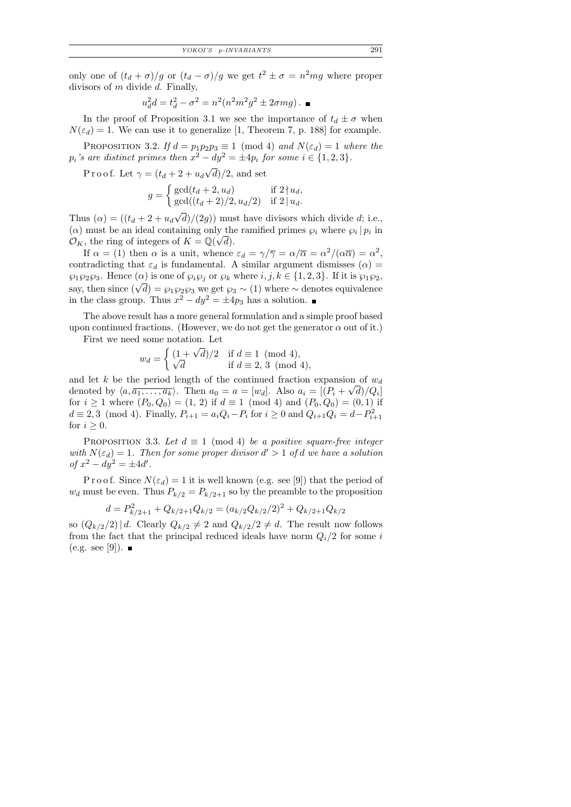YOKOI'S p-INVARIANTS 291

only one of  $(t_d + \sigma)/g$  or  $(t_d - \sigma)/g$  we get  $t^2 \pm \sigma = n^2mg$  where proper divisors of m divide d. Finally,

$$
u_d^2 d = t_d^2 - \sigma^2 = n^2 (n^2 m^2 g^2 \pm 2 \sigma m g).
$$

In the proof of Proposition 3.1 we see the importance of  $t_d \pm \sigma$  when  $N(\varepsilon_d) = 1$ . We can use it to generalize [1, Theorem 7, p. 188] for example.

PROPOSITION 3.2. If  $d = p_1p_2p_3 \equiv 1 \pmod{4}$  and  $N(\varepsilon_d) = 1$  where the  $p_i$ 's are distinct primes then  $x^2 - dy^2 = \pm 4p_i$  for some  $i \in \{1, 2, 3\}$ . √

Proof. Let  $\gamma = (t_d + 2 + u_d)$  $d/2$ , and set

$$
g = \begin{cases} \gcd(t_d + 2, u_d) & \text{if } 2 \nmid u_d, \\ \gcd((t_d + 2)/2, u_d/2) & \text{if } 2 \mid u_d. \end{cases}
$$

Thus  $(\alpha) = ((t_d + 2 + u_d))$  $d/(2g)$  must have divisors which divide d; i.e., ( $\alpha$ ) must be an ideal containing only the ramified primes  $\wp_i$  where  $\wp_i | p_i$  in  $\mathcal{O}_K$ , the ring of integers of  $K = \mathbb{Q}(\sqrt{d})$ .

If  $\alpha = (1)$  then  $\alpha$  is a unit, whence  $\varepsilon_d = \frac{\gamma}{\overline{\gamma}} = \frac{\alpha}{\overline{\alpha}} = \frac{\alpha^2}{\alpha \overline{\alpha}} = \frac{\alpha^2}{\alpha^2}$ , contradicting that  $\varepsilon_d$  is fundamental. A similar argument dismisses  $(\alpha)$  =  $\wp_1 \wp_2 \wp_3$ . Hence  $(\alpha)$  is one of  $\wp_i \wp_j$  or  $\wp_k$  where  $i, j, k \in \{1, 2, 3\}$ . If it is  $\wp_1 \wp_2$ ,  $\wp_1 \wp_2 \wp_3$ . Hence  $\alpha$  is one of  $\wp_i \wp_j$  or  $\wp_k$  where  $i, j, k \in \{1, 2, 3\}$ . If it is  $\wp_1 \wp_2$ ,<br>say, then since  $(\sqrt{d}) = \wp_1 \wp_2 \wp_3$  we get  $\wp_3 \sim (1)$  where  $\sim$  denotes equivalence in the class group. Thus  $x^2 - dy^2 = \pm 4p_3$  has a solution.

The above result has a more general formulation and a simple proof based upon continued fractions. (However, we do not get the generator  $\alpha$  out of it.)

First we need some notation. Let<br> $\int (1 + \sqrt{d})/2$ 

$$
w_d = \begin{cases} (1 + \sqrt{d})/2 & \text{if } d \equiv 1 \pmod{4}, \\ \sqrt{d} & \text{if } d \equiv 2, 3 \pmod{4}, \end{cases}
$$

and let k be the period length of the continued fraction expansion of  $w_d$ denoted by  $\langle a, \overline{a_1, \ldots, a_k} \rangle$ . Then  $a_0 = a = [w_d]$ . Also  $a_i = [(P_i + \sqrt{d})/Q_i]$ for  $i \ge 1$  where  $(P_0, Q_0) = (1, 2)$  if  $d \equiv 1 \pmod{4}$  and  $(P_0, Q_0) = (0, 1)$  if  $d \equiv 2,3 \pmod{4}$ . Finally,  $P_{i+1} = a_i Q_i - P_i$  for  $i \ge 0$  and  $Q_{i+1} Q_i = d - P_{i+1}^2$ for  $i \geq 0$ .

PROPOSITION 3.3. Let  $d \equiv 1 \pmod{4}$  be a positive square-free integer with  $N(\varepsilon_d) = 1$ . Then for some proper divisor  $d' > 1$  of d we have a solution of  $x^2 - dy^2 = \pm 4d'$ .

P r o o f. Since  $N(\varepsilon_d) = 1$  it is well known (e.g. see [9]) that the period of  $w_d$  must be even. Thus  $P_{k/2} = P_{k/2+1}$  so by the preamble to the proposition

$$
d = P_{k/2+1}^2 + Q_{k/2+1}Q_{k/2} = (a_{k/2}Q_{k/2}/2)^2 + Q_{k/2+1}Q_{k/2}
$$

so  $(Q_{k/2}/2)$  d. Clearly  $Q_{k/2} \neq 2$  and  $Q_{k/2}/2 \neq d$ . The result now follows from the fact that the principal reduced ideals have norm  $Q_i/2$  for some i  $(e.g. see [9])$ .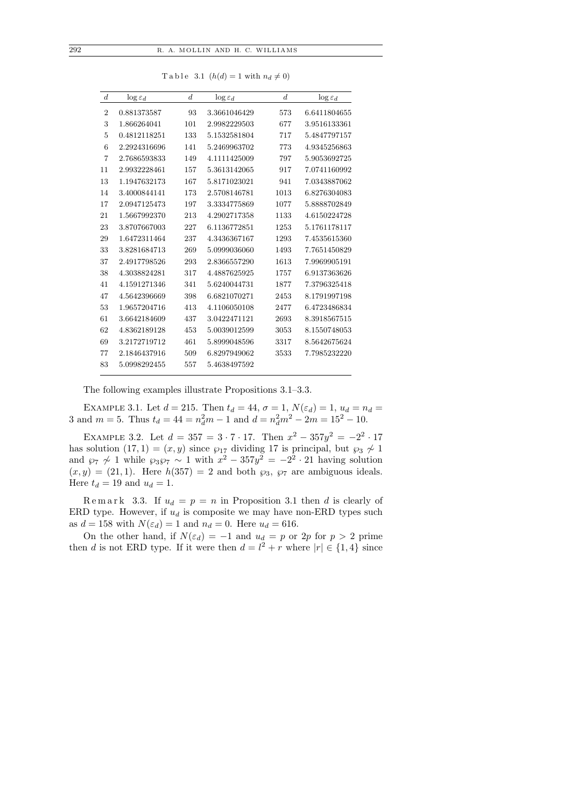| $\log \varepsilon_d$ |
|----------------------|
| 6.6411804655         |
| 3.9516133361         |
| 5.4847797157         |
| 4.9345256863         |
| 5.9053692725         |
| 7.0741160992         |
| 7.0343887062         |
| 6.8276304083         |
| 5.8888702849         |
| 4.6150224728         |
| 5.1761178117         |
| 7.4535615360         |
| 7.7651450829         |
| 7.9969905191         |
| 6.9137363626         |
| 7.3796325418         |
| 8.1791997198         |
| 6.4723486834         |
| 8.3918567515         |
| 8.1550748053         |
| 8.5642675624         |
| 7.7985232220         |
|                      |
|                      |

Table 3.1  $(h(d) = 1$  with  $n_d \neq 0)$ 

The following examples illustrate Propositions 3.1–3.3.

EXAMPLE 3.1. Let  $d = 215$ . Then  $t_d = 44$ ,  $\sigma = 1$ ,  $N(\varepsilon_d) = 1$ ,  $u_d = n_d =$ 3 and  $m = 5$ . Thus  $t_d = 44 = n_d^2 m - 1$  and  $d = n_d^2 m^2 - 2m = 15^2 - 10$ .

EXAMPLE 3.2. Let  $d = 357 = 3 \cdot 7 \cdot 17$ . Then  $x^2 - 357y^2 = -2^2 \cdot 17$ has solution (17, 1) =  $(x, y)$  since  $\wp_{17}$  dividing 17 is principal, but  $\wp_3 \nsim 1$ and  $\wp_7 \nsim 1$  while  $\wp_3 \wp_7 \sim 1$  with  $x^2 - 357y^2 = -2^2 \cdot 21$  having solution  $(x, y) = (21, 1)$ . Here  $h(357) = 2$  and both  $\wp_3$ ,  $\wp_7$  are ambiguous ideals. Here  $t_d = 19$  and  $u_d = 1$ .

Remark 3.3. If  $u_d = p = n$  in Proposition 3.1 then d is clearly of ERD type. However, if  $u_d$  is composite we may have non-ERD types such as  $d = 158$  with  $N(\varepsilon_d) = 1$  and  $n_d = 0$ . Here  $u_d = 616$ .

On the other hand, if  $N(\varepsilon_d) = -1$  and  $u_d = p$  or 2p for  $p > 2$  prime then d is not ERD type. If it were then  $d = l^2 + r$  where  $|r| \in \{1, 4\}$  since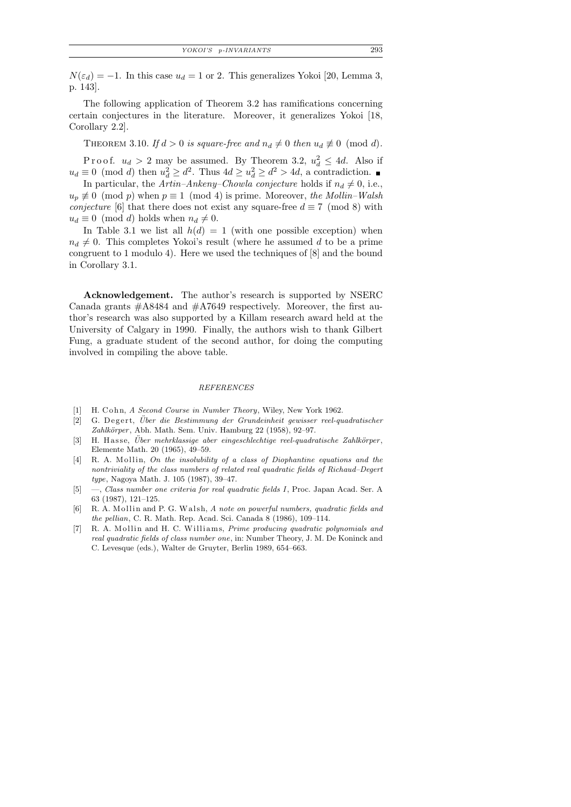$N(\varepsilon_d) = -1$ . In this case  $u_d = 1$  or 2. This generalizes Yokoi [20, Lemma 3, p. 143].

The following application of Theorem 3.2 has ramifications concerning certain conjectures in the literature. Moreover, it generalizes Yokoi [18, Corollary 2.2].

THEOREM 3.10. If  $d > 0$  is square-free and  $n_d \neq 0$  then  $u_d \neq 0 \pmod{d}$ .

P r o o f.  $u_d > 2$  may be assumed. By Theorem 3.2,  $u_d^2 \leq 4d$ . Also if  $u_d \equiv 0 \pmod{d}$  then  $u_d^2 \ge d^2$ . Thus  $4d \ge u_d^2 \ge d^2 > 4d$ , a contradiction.

In particular, the Artin–Ankeny–Chowla conjecture holds if  $n_d \neq 0$ , i.e.,  $u_p \not\equiv 0 \pmod{p}$  when  $p \equiv 1 \pmod{4}$  is prime. Moreover, the Mollin–Walsh conjecture [6] that there does not exist any square-free  $d \equiv 7 \pmod{8}$  with  $u_d \equiv 0 \pmod{d}$  holds when  $n_d \neq 0$ .

In Table 3.1 we list all  $h(d) = 1$  (with one possible exception) when  $n_d \neq 0$ . This completes Yokoi's result (where he assumed d to be a prime congruent to 1 modulo 4). Here we used the techniques of [8] and the bound in Corollary 3.1.

Acknowledgement. The author's research is supported by NSERC Canada grants  $\#A8484$  and  $\#A7649$  respectively. Moreover, the first author's research was also supported by a Killam research award held at the University of Calgary in 1990. Finally, the authors wish to thank Gilbert Fung, a graduate student of the second author, for doing the computing involved in compiling the above table.

## REFERENCES

- [1] H. Cohn, A Second Course in Number Theory, Wiley, New York 1962.
- [2] G. Degert, Über die Bestimmung der Grundeinheit gewisser reel-quadratischer Zahlkörper, Abh. Math. Sem. Univ. Hamburg 22 (1958), 92-97.
- [3] H. Hasse, Über mehrklassige aber eingeschlechtige reel-quadratische Zahlkörper, Elemente Math. 20 (1965), 49–59.
- $[4]$  R. A. Mollin, On the insolubility of a class of Diophantine equations and the nontriviality of the class numbers of related real quadratic fields of Richaud–Degert type, Nagoya Math. J. 105 (1987), 39–47.
- [5] —, Class number one criteria for real quadratic fields I, Proc. Japan Acad. Ser. A 63 (1987), 121–125.
- [6] R. A. Mollin and P. G. Walsh, A note on powerful numbers, quadratic fields and the pellian, C. R. Math. Rep. Acad. Sci. Canada 8 (1986), 109–114.
- [7] R. A. Mollin and H. C. Williams, Prime producing quadratic polynomials and real quadratic fields of class number one, in: Number Theory, J. M. De Koninck and C. Levesque (eds.), Walter de Gruyter, Berlin 1989, 654–663.